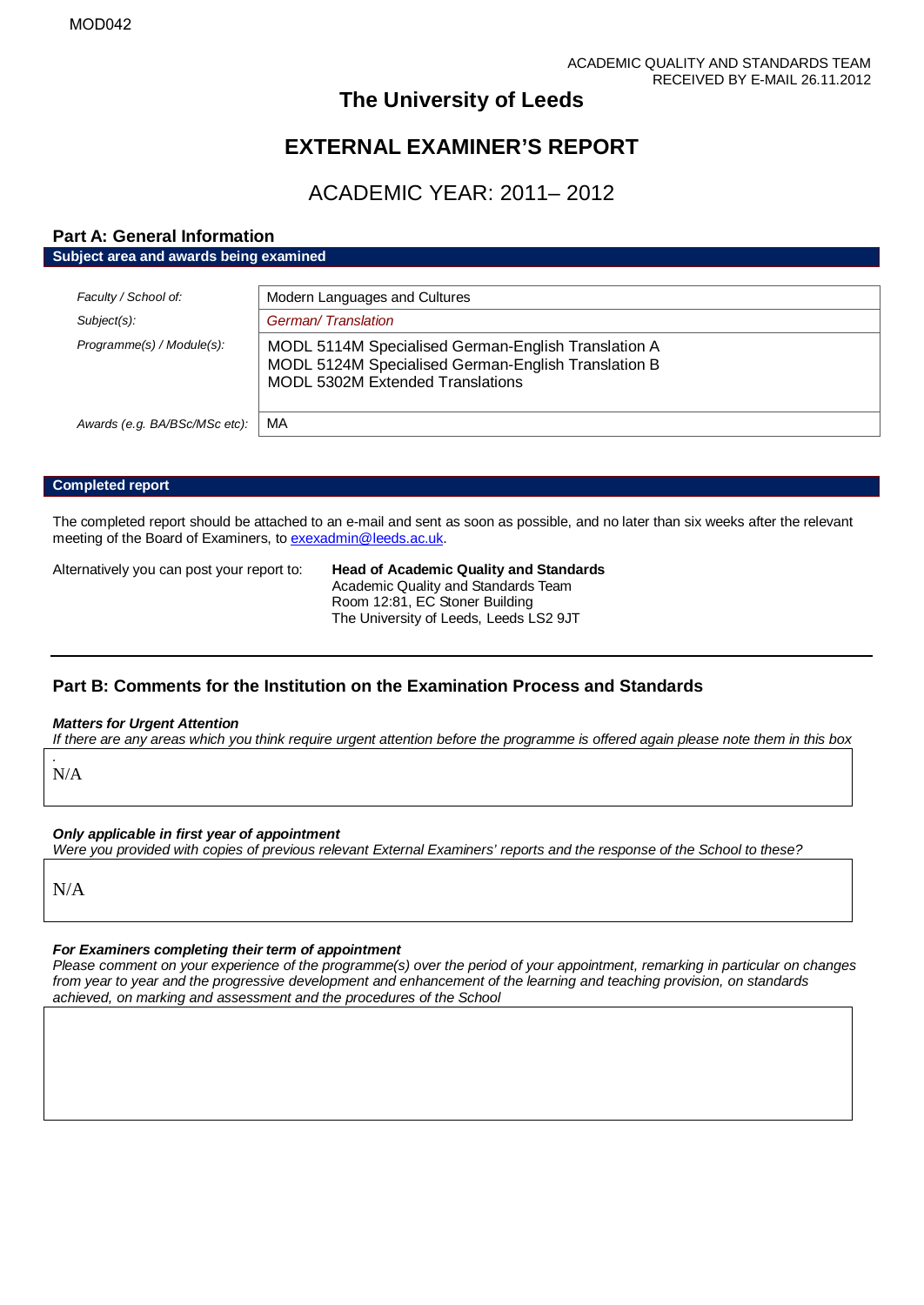## **The University of Leeds**

# **EXTERNAL EXAMINER'S REPORT**

# ACADEMIC YEAR: 2011– 2012

### **Part A: General Information**

**Subject area and awards being examined**

| Faculty / School of:          | Modern Languages and Cultures                                                                                                                  |
|-------------------------------|------------------------------------------------------------------------------------------------------------------------------------------------|
| $Subject(s)$ :                | German/Translation                                                                                                                             |
| Programme(s) / Module(s):     | MODL 5114M Specialised German-English Translation A<br>MODL 5124M Specialised German-English Translation B<br>MODL 5302M Extended Translations |
| Awards (e.g. BA/BSc/MSc etc): | MA                                                                                                                                             |

#### **Completed report**

The completed report should be attached to an e-mail and sent as soon as possible, and no later than six weeks after the relevant meeting of the Board of Examiners, t[o exexadmin@leeds.ac.uk.](mailto:exexadmin@leeds.ac.uk)

Alternatively you can post your report to: **Head of Academic Quality and Standards**

Academic Quality and Standards Team Room 12:81, EC Stoner Building The University of Leeds, Leeds LS2 9JT

## **Part B: Comments for the Institution on the Examination Process and Standards**

#### *Matters for Urgent Attention*

*If there are any areas which you think require urgent attention before the programme is offered again please note them in this box*

*.* N/A

#### *Only applicable in first year of appointment*

*Were you provided with copies of previous relevant External Examiners' reports and the response of the School to these?* 

N/A

## *For Examiners completing their term of appointment*

*Please comment on your experience of the programme(s) over the period of your appointment, remarking in particular on changes from year to year and the progressive development and enhancement of the learning and teaching provision, on standards achieved, on marking and assessment and the procedures of the School*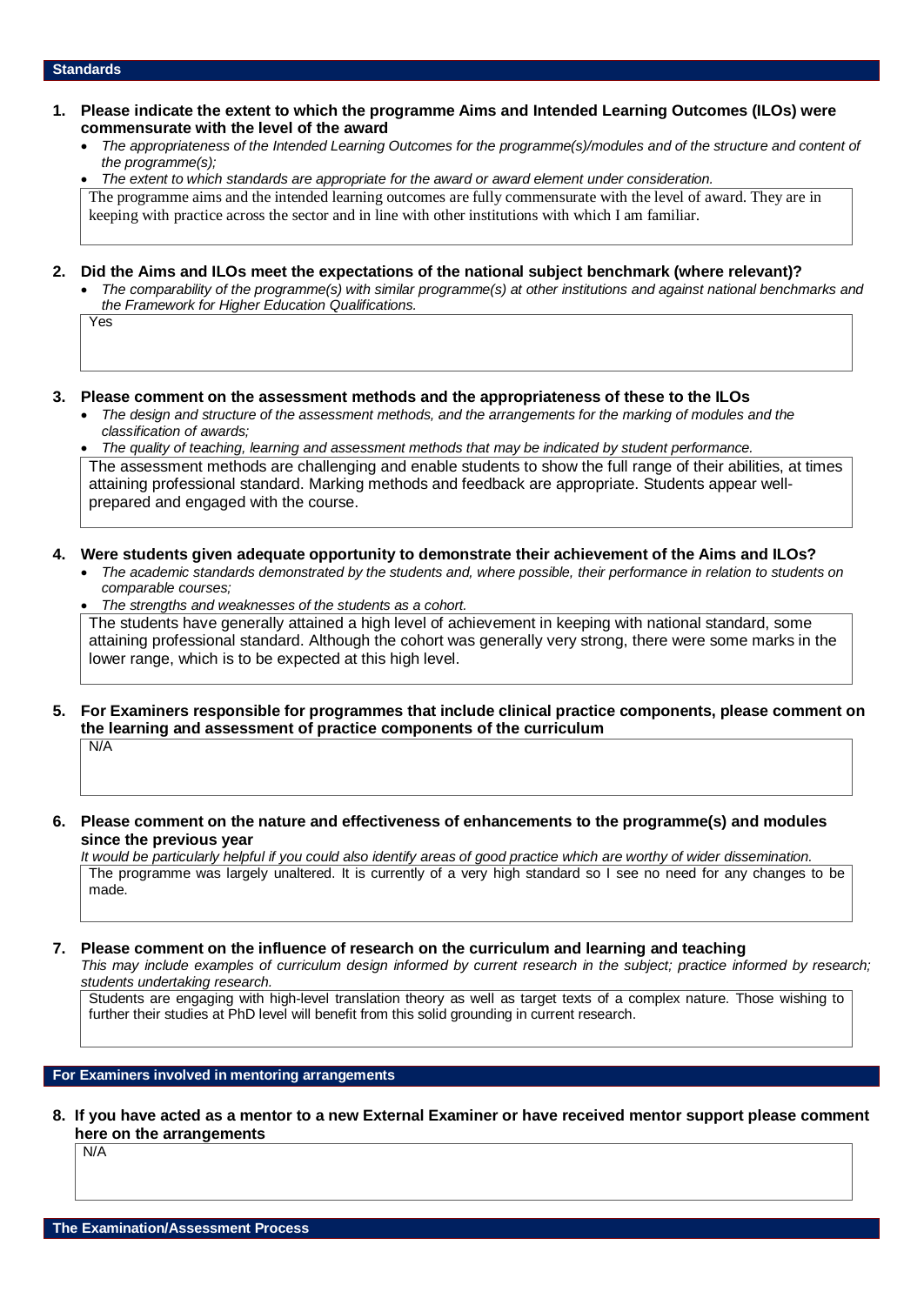#### **Standards**

Yes

- **1. Please indicate the extent to which the programme Aims and Intended Learning Outcomes (ILOs) were commensurate with the level of the award**
	- *The appropriateness of the Intended Learning Outcomes for the programme(s)/modules and of the structure and content of the programme(s);*

• *The extent to which standards are appropriate for the award or award element under consideration.* The programme aims and the intended learning outcomes are fully commensurate with the level of award. They are in keeping with practice across the sector and in line with other institutions with which I am familiar.

- **2. Did the Aims and ILOs meet the expectations of the national subject benchmark (where relevant)?**
	- *The comparability of the programme(s) with similar programme(s) at other institutions and against national benchmarks and the Framework for Higher Education Qualifications.*

**3. Please comment on the assessment methods and the appropriateness of these to the ILOs**

• *The design and structure of the assessment methods, and the arrangements for the marking of modules and the classification of awards;* 

• *The quality of teaching, learning and assessment methods that may be indicated by student performance.* The assessment methods are challenging and enable students to show the full range of their abilities, at times attaining professional standard. Marking methods and feedback are appropriate. Students appear wellprepared and engaged with the course.

**4. Were students given adequate opportunity to demonstrate their achievement of the Aims and ILOs?**

- *The academic standards demonstrated by the students and, where possible, their performance in relation to students on comparable courses;*
- *The strengths and weaknesses of the students as a cohort.*

The students have generally attained a high level of achievement in keeping with national standard, some attaining professional standard. Although the cohort was generally very strong, there were some marks in the lower range, which is to be expected at this high level.

**5. For Examiners responsible for programmes that include clinical practice components, please comment on the learning and assessment of practice components of the curriculum** N/A

**6. Please comment on the nature and effectiveness of enhancements to the programme(s) and modules since the previous year**

*It would be particularly helpful if you could also identify areas of good practice which are worthy of wider dissemination.*  The programme was largely unaltered. It is currently of a very high standard so I see no need for any changes to be made.

**7. Please comment on the influence of research on the curriculum and learning and teaching**

*This may include examples of curriculum design informed by current research in the subject; practice informed by research; students undertaking research.* 

Students are engaging with high-level translation theory as well as target texts of a complex nature. Those wishing to further their studies at PhD level will benefit from this solid grounding in current research.

#### **For Examiners involved in mentoring arrangements**

**8. If you have acted as a mentor to a new External Examiner or have received mentor support please comment here on the arrangements**

N/A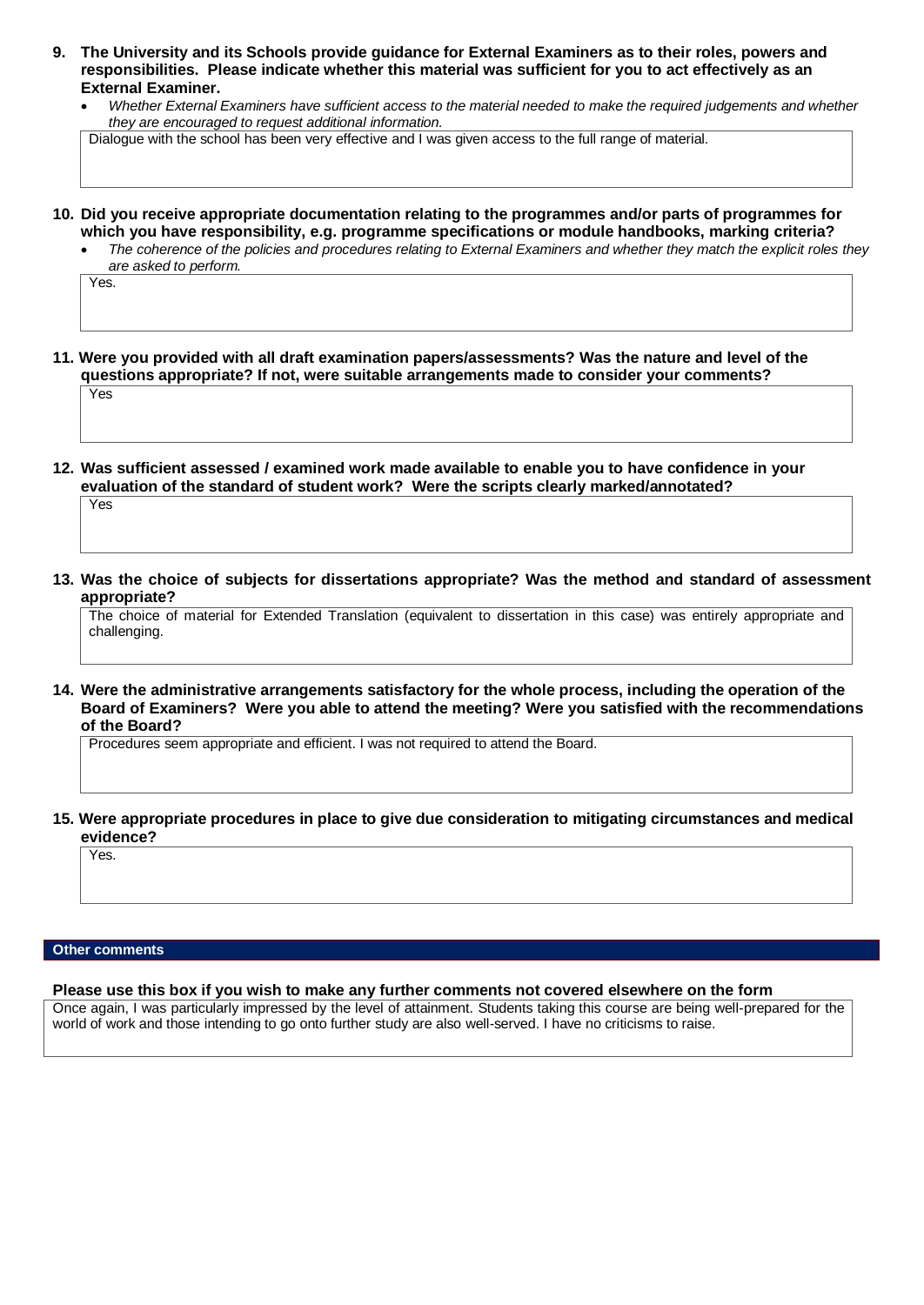- **9. The University and its Schools provide guidance for External Examiners as to their roles, powers and responsibilities. Please indicate whether this material was sufficient for you to act effectively as an External Examiner.**
	- *Whether External Examiners have sufficient access to the material needed to make the required judgements and whether they are encouraged to request additional information.*

Dialogue with the school has been very effective and I was given access to the full range of material.

- **10. Did you receive appropriate documentation relating to the programmes and/or parts of programmes for which you have responsibility, e.g. programme specifications or module handbooks, marking criteria?**
	- *The coherence of the policies and procedures relating to External Examiners and whether they match the explicit roles they are asked to perform.*

Yes.

**11. Were you provided with all draft examination papers/assessments? Was the nature and level of the questions appropriate? If not, were suitable arrangements made to consider your comments?** Yes

**12. Was sufficient assessed / examined work made available to enable you to have confidence in your evaluation of the standard of student work? Were the scripts clearly marked/annotated?** 

Yes

**13. Was the choice of subjects for dissertations appropriate? Was the method and standard of assessment appropriate?**

The choice of material for Extended Translation (equivalent to dissertation in this case) was entirely appropriate and challenging.

**14. Were the administrative arrangements satisfactory for the whole process, including the operation of the Board of Examiners? Were you able to attend the meeting? Were you satisfied with the recommendations of the Board?**

Procedures seem appropriate and efficient. I was not required to attend the Board.

**15. Were appropriate procedures in place to give due consideration to mitigating circumstances and medical evidence?**

Yes.

#### **Other comments**

#### **Please use this box if you wish to make any further comments not covered elsewhere on the form**

Once again, I was particularly impressed by the level of attainment. Students taking this course are being well-prepared for the world of work and those intending to go onto further study are also well-served. I have no criticisms to raise.